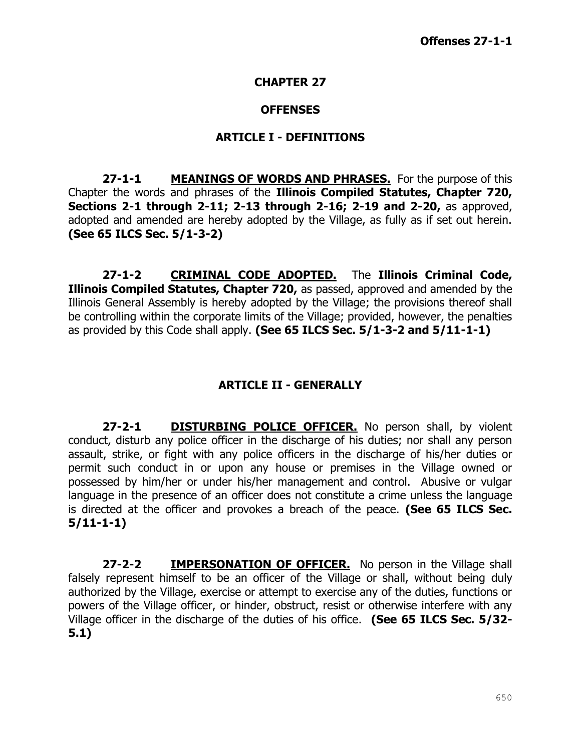#### **CHAPTER 27**

#### **OFFENSES**

#### **ARTICLE I - DEFINITIONS**

**27-1-1 MEANINGS OF WORDS AND PHRASES.** For the purpose of this Chapter the words and phrases of the **Illinois Compiled Statutes, Chapter 720, Sections 2-1 through 2-11; 2-13 through 2-16; 2-19 and 2-20,** as approved, adopted and amended are hereby adopted by the Village, as fully as if set out herein. **(See 65 ILCS Sec. 5/1-3-2)**

**27-1-2 CRIMINAL CODE ADOPTED.** The **Illinois Criminal Code, Illinois Compiled Statutes, Chapter 720,** as passed, approved and amended by the Illinois General Assembly is hereby adopted by the Village; the provisions thereof shall be controlling within the corporate limits of the Village; provided, however, the penalties as provided by this Code shall apply. **(See 65 ILCS Sec. 5/1-3-2 and 5/11-1-1)**

# **ARTICLE II - GENERALLY**

**27-2-1 DISTURBING POLICE OFFICER.** No person shall, by violent conduct, disturb any police officer in the discharge of his duties; nor shall any person assault, strike, or fight with any police officers in the discharge of his/her duties or permit such conduct in or upon any house or premises in the Village owned or possessed by him/her or under his/her management and control. Abusive or vulgar language in the presence of an officer does not constitute a crime unless the language is directed at the officer and provokes a breach of the peace. **(See 65 ILCS Sec. 5/11-1-1)**

**27-2-2 IMPERSONATION OF OFFICER.** No person in the Village shall falsely represent himself to be an officer of the Village or shall, without being duly authorized by the Village, exercise or attempt to exercise any of the duties, functions or powers of the Village officer, or hinder, obstruct, resist or otherwise interfere with any Village officer in the discharge of the duties of his office. **(See 65 ILCS Sec. 5/32- 5.1)**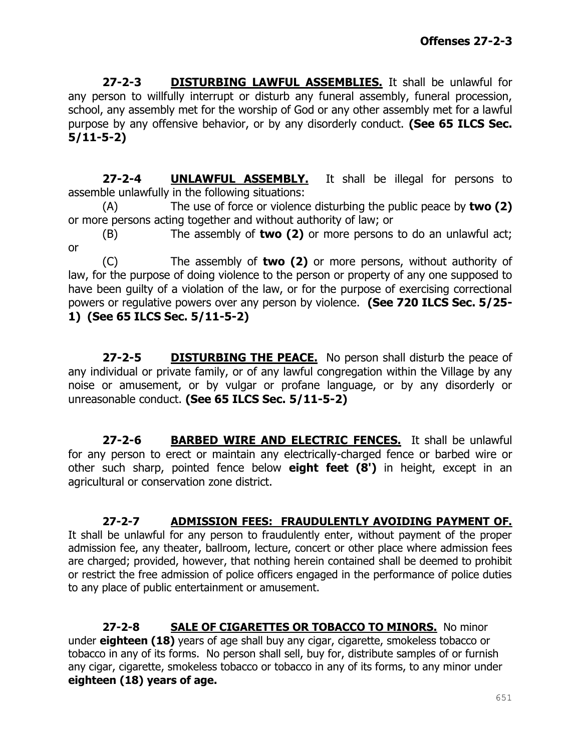**27-2-3 DISTURBING LAWFUL ASSEMBLIES.** It shall be unlawful for any person to willfully interrupt or disturb any funeral assembly, funeral procession, school, any assembly met for the worship of God or any other assembly met for a lawful purpose by any offensive behavior, or by any disorderly conduct. **(See 65 ILCS Sec. 5/11-5-2)**

**27-2-4 UNLAWFUL ASSEMBLY.** It shall be illegal for persons to assemble unlawfully in the following situations:

(A) The use of force or violence disturbing the public peace by **two (2)** or more persons acting together and without authority of law; or

(B) The assembly of **two (2)** or more persons to do an unlawful act; or

(C) The assembly of **two (2)** or more persons, without authority of law, for the purpose of doing violence to the person or property of any one supposed to have been guilty of a violation of the law, or for the purpose of exercising correctional powers or regulative powers over any person by violence. **(See 720 ILCS Sec. 5/25- 1) (See 65 ILCS Sec. 5/11-5-2)**

**27-2-5 DISTURBING THE PEACE.** No person shall disturb the peace of any individual or private family, or of any lawful congregation within the Village by any noise or amusement, or by vulgar or profane language, or by any disorderly or unreasonable conduct. **(See 65 ILCS Sec. 5/11-5-2)**

**27-2-6 BARBED WIRE AND ELECTRIC FENCES.** It shall be unlawful for any person to erect or maintain any electrically-charged fence or barbed wire or other such sharp, pointed fence below **eight feet (8')** in height, except in an agricultural or conservation zone district.

#### **27-2-7 ADMISSION FEES: FRAUDULENTLY AVOIDING PAYMENT OF.**

It shall be unlawful for any person to fraudulently enter, without payment of the proper admission fee, any theater, ballroom, lecture, concert or other place where admission fees are charged; provided, however, that nothing herein contained shall be deemed to prohibit or restrict the free admission of police officers engaged in the performance of police duties to any place of public entertainment or amusement.

**27-2-8 SALE OF CIGARETTES OR TOBACCO TO MINORS.** No minor under **eighteen (18)** years of age shall buy any cigar, cigarette, smokeless tobacco or tobacco in any of its forms. No person shall sell, buy for, distribute samples of or furnish any cigar, cigarette, smokeless tobacco or tobacco in any of its forms, to any minor under **eighteen (18) years of age.**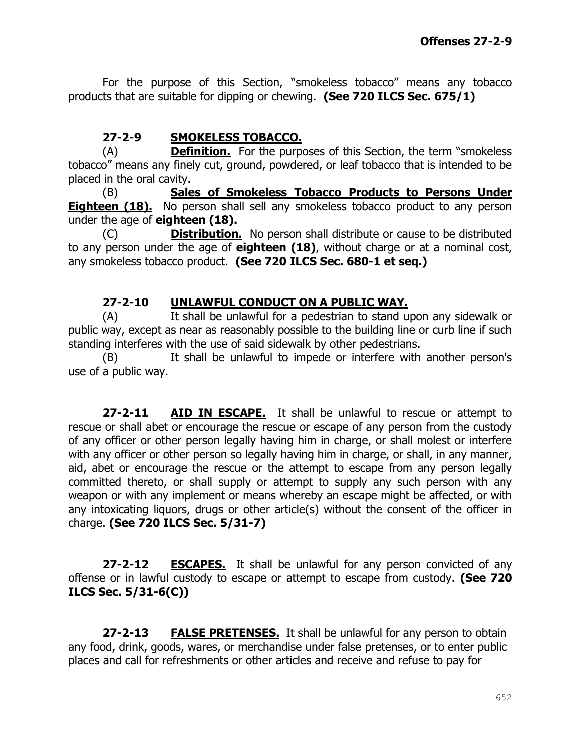For the purpose of this Section, "smokeless tobacco" means any tobacco products that are suitable for dipping or chewing. **(See 720 ILCS Sec. 675/1)**

### **27-2-9 SMOKELESS TOBACCO.**

(A) **Definition.** For the purposes of this Section, the term "smokeless tobacco" means any finely cut, ground, powdered, or leaf tobacco that is intended to be placed in the oral cavity.

(B) **Sales of Smokeless Tobacco Products to Persons Under Eighteen (18).** No person shall sell any smokeless tobacco product to any person under the age of **eighteen (18).**

(C) **Distribution.** No person shall distribute or cause to be distributed to any person under the age of **eighteen (18)**, without charge or at a nominal cost, any smokeless tobacco product. **(See 720 ILCS Sec. 680-1 et seq.)**

#### **27-2-10 UNLAWFUL CONDUCT ON A PUBLIC WAY.**

(A) It shall be unlawful for a pedestrian to stand upon any sidewalk or public way, except as near as reasonably possible to the building line or curb line if such standing interferes with the use of said sidewalk by other pedestrians.

(B) It shall be unlawful to impede or interfere with another person's use of a public way.

**27-2-11 AID IN ESCAPE.** It shall be unlawful to rescue or attempt to rescue or shall abet or encourage the rescue or escape of any person from the custody of any officer or other person legally having him in charge, or shall molest or interfere with any officer or other person so legally having him in charge, or shall, in any manner, aid, abet or encourage the rescue or the attempt to escape from any person legally committed thereto, or shall supply or attempt to supply any such person with any weapon or with any implement or means whereby an escape might be affected, or with any intoxicating liquors, drugs or other article(s) without the consent of the officer in charge. **(See 720 ILCS Sec. 5/31-7)**

**27-2-12 ESCAPES.** It shall be unlawful for any person convicted of any offense or in lawful custody to escape or attempt to escape from custody. **(See 720 ILCS Sec. 5/31-6(C))**

**27-2-13 FALSE PRETENSES.** It shall be unlawful for any person to obtain any food, drink, goods, wares, or merchandise under false pretenses, or to enter public places and call for refreshments or other articles and receive and refuse to pay for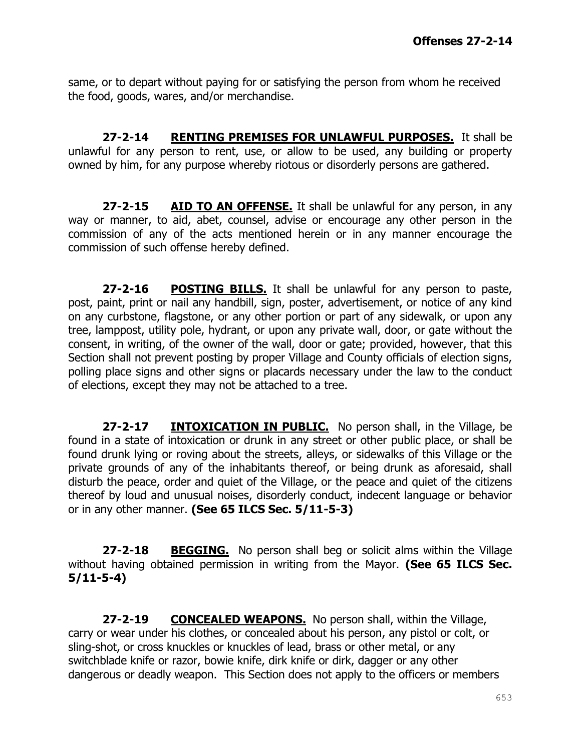same, or to depart without paying for or satisfying the person from whom he received the food, goods, wares, and/or merchandise.

**27-2-14 RENTING PREMISES FOR UNLAWFUL PURPOSES.** It shall be unlawful for any person to rent, use, or allow to be used, any building or property owned by him, for any purpose whereby riotous or disorderly persons are gathered.

**27-2-15 AID TO AN OFFENSE.** It shall be unlawful for any person, in any way or manner, to aid, abet, counsel, advise or encourage any other person in the commission of any of the acts mentioned herein or in any manner encourage the commission of such offense hereby defined.

**27-2-16 POSTING BILLS.** It shall be unlawful for any person to paste, post, paint, print or nail any handbill, sign, poster, advertisement, or notice of any kind on any curbstone, flagstone, or any other portion or part of any sidewalk, or upon any tree, lamppost, utility pole, hydrant, or upon any private wall, door, or gate without the consent, in writing, of the owner of the wall, door or gate; provided, however, that this Section shall not prevent posting by proper Village and County officials of election signs, polling place signs and other signs or placards necessary under the law to the conduct of elections, except they may not be attached to a tree.

**27-2-17 INTOXICATION IN PUBLIC.** No person shall, in the Village, be found in a state of intoxication or drunk in any street or other public place, or shall be found drunk lying or roving about the streets, alleys, or sidewalks of this Village or the private grounds of any of the inhabitants thereof, or being drunk as aforesaid, shall disturb the peace, order and quiet of the Village, or the peace and quiet of the citizens thereof by loud and unusual noises, disorderly conduct, indecent language or behavior or in any other manner. **(See 65 ILCS Sec. 5/11-5-3)**

**27-2-18 BEGGING.** No person shall beg or solicit alms within the Village without having obtained permission in writing from the Mayor. **(See 65 ILCS Sec. 5/11-5-4)**

**27-2-19 CONCEALED WEAPONS.** No person shall, within the Village, carry or wear under his clothes, or concealed about his person, any pistol or colt, or sling-shot, or cross knuckles or knuckles of lead, brass or other metal, or any switchblade knife or razor, bowie knife, dirk knife or dirk, dagger or any other dangerous or deadly weapon. This Section does not apply to the officers or members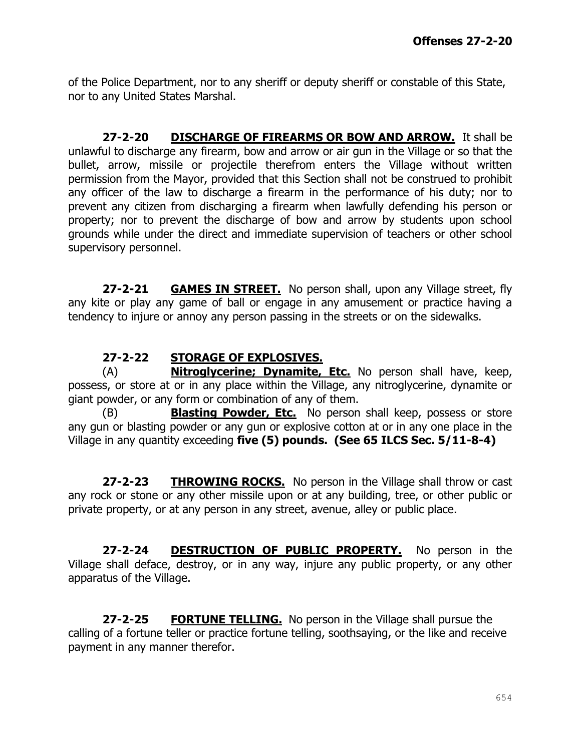of the Police Department, nor to any sheriff or deputy sheriff or constable of this State, nor to any United States Marshal.

**27-2-20 DISCHARGE OF FIREARMS OR BOW AND ARROW.** It shall be unlawful to discharge any firearm, bow and arrow or air gun in the Village or so that the bullet, arrow, missile or projectile therefrom enters the Village without written permission from the Mayor, provided that this Section shall not be construed to prohibit any officer of the law to discharge a firearm in the performance of his duty; nor to prevent any citizen from discharging a firearm when lawfully defending his person or property; nor to prevent the discharge of bow and arrow by students upon school grounds while under the direct and immediate supervision of teachers or other school supervisory personnel.

**27-2-21 GAMES IN STREET.** No person shall, upon any Village street, fly any kite or play any game of ball or engage in any amusement or practice having a tendency to injure or annoy any person passing in the streets or on the sidewalks.

#### **27-2-22 STORAGE OF EXPLOSIVES.**

(A) **Nitroglycerine; Dynamite, Etc.** No person shall have, keep, possess, or store at or in any place within the Village, any nitroglycerine, dynamite or giant powder, or any form or combination of any of them.

(B) **Blasting Powder, Etc.** No person shall keep, possess or store any gun or blasting powder or any gun or explosive cotton at or in any one place in the Village in any quantity exceeding **five (5) pounds. (See 65 ILCS Sec. 5/11-8-4)**

**27-2-23 THROWING ROCKS.** No person in the Village shall throw or cast any rock or stone or any other missile upon or at any building, tree, or other public or private property, or at any person in any street, avenue, alley or public place.

**27-2-24 DESTRUCTION OF PUBLIC PROPERTY.** No person in the Village shall deface, destroy, or in any way, injure any public property, or any other apparatus of the Village.

**27-2-25 FORTUNE TELLING.** No person in the Village shall pursue the calling of a fortune teller or practice fortune telling, soothsaying, or the like and receive payment in any manner therefor.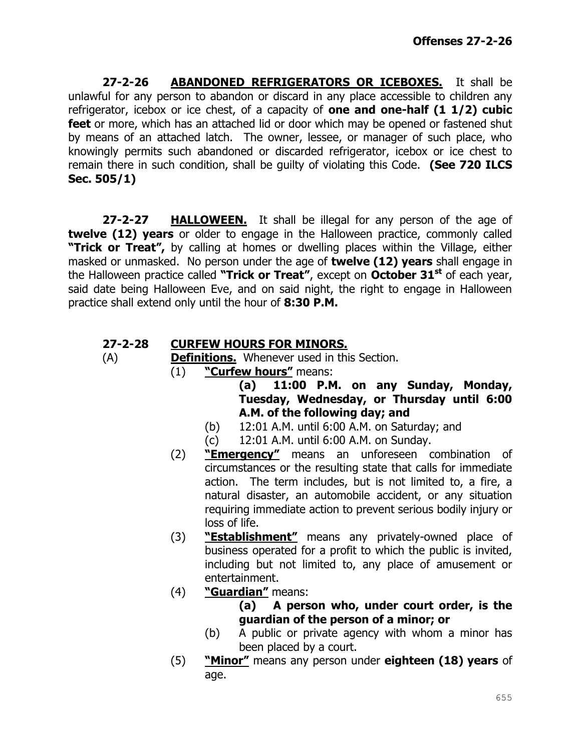**27-2-26 ABANDONED REFRIGERATORS OR ICEBOXES.** It shall be unlawful for any person to abandon or discard in any place accessible to children any refrigerator, icebox or ice chest, of a capacity of **one and one-half (1 1/2) cubic feet** or more, which has an attached lid or door which may be opened or fastened shut by means of an attached latch. The owner, lessee, or manager of such place, who knowingly permits such abandoned or discarded refrigerator, icebox or ice chest to remain there in such condition, shall be guilty of violating this Code. **(See 720 ILCS Sec. 505/1)**

**27-2-27 HALLOWEEN.** It shall be illegal for any person of the age of **twelve (12) years** or older to engage in the Halloween practice, commonly called **"Trick or Treat",** by calling at homes or dwelling places within the Village, either masked or unmasked. No person under the age of **twelve (12) years** shall engage in the Halloween practice called **"Trick or Treat"**, except on **October 31st** of each year, said date being Halloween Eve, and on said night, the right to engage in Halloween practice shall extend only until the hour of **8:30 P.M.**

# **27-2-28 CURFEW HOURS FOR MINORS.**

- (A) **Definitions.** Whenever used in this Section.
	- (1) **"Curfew hours"** means:
		- **(a) 11:00 P.M. on any Sunday, Monday, Tuesday, Wednesday, or Thursday until 6:00 A.M. of the following day; and**
		- (b) 12:01 A.M. until 6:00 A.M. on Saturday; and
		- (c) 12:01 A.M. until 6:00 A.M. on Sunday.
	- (2) **"Emergency"** means an unforeseen combination of circumstances or the resulting state that calls for immediate action. The term includes, but is not limited to, a fire, a natural disaster, an automobile accident, or any situation requiring immediate action to prevent serious bodily injury or loss of life.
	- (3) **"Establishment"** means any privately-owned place of business operated for a profit to which the public is invited, including but not limited to, any place of amusement or entertainment.
	- (4) **"Guardian"** means:
		- **(a) A person who, under court order, is the guardian of the person of a minor; or**
		- (b) A public or private agency with whom a minor has been placed by a court.
	- (5) **"Minor"** means any person under **eighteen (18) years** of age.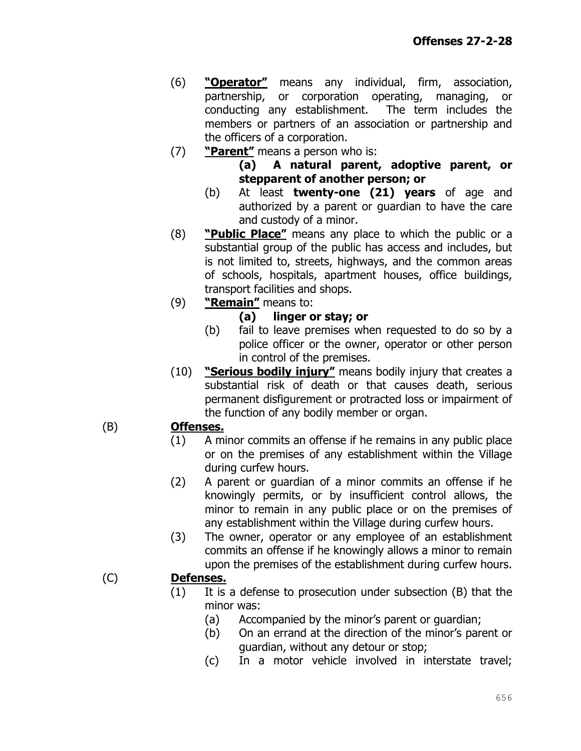- (6) **"Operator"** means any individual, firm, association, partnership, or corporation operating, managing, or conducting any establishment. The term includes the members or partners of an association or partnership and the officers of a corporation.
- (7) **"Parent"** means a person who is:
	- **(a) A natural parent, adoptive parent, or stepparent of another person; or**
	- (b) At least **twenty-one (21) years** of age and authorized by a parent or guardian to have the care and custody of a minor.
- (8) **"Public Place"** means any place to which the public or a substantial group of the public has access and includes, but is not limited to, streets, highways, and the common areas of schools, hospitals, apartment houses, office buildings, transport facilities and shops.
- (9) **"Remain"** means to:

#### **(a) linger or stay; or**

- (b) fail to leave premises when requested to do so by a police officer or the owner, operator or other person in control of the premises.
- (10) **"Serious bodily injury"** means bodily injury that creates a substantial risk of death or that causes death, serious permanent disfigurement or protracted loss or impairment of the function of any bodily member or organ.

# (B) **Offenses.**

- (1) A minor commits an offense if he remains in any public place or on the premises of any establishment within the Village during curfew hours.
- (2) A parent or guardian of a minor commits an offense if he knowingly permits, or by insufficient control allows, the minor to remain in any public place or on the premises of any establishment within the Village during curfew hours.
- (3) The owner, operator or any employee of an establishment commits an offense if he knowingly allows a minor to remain upon the premises of the establishment during curfew hours.

# (C) **Defenses.**

- (1) It is a defense to prosecution under subsection (B) that the minor was:
	- (a) Accompanied by the minor's parent or guardian;
	- (b) On an errand at the direction of the minor's parent or guardian, without any detour or stop;
	- (c) In a motor vehicle involved in interstate travel;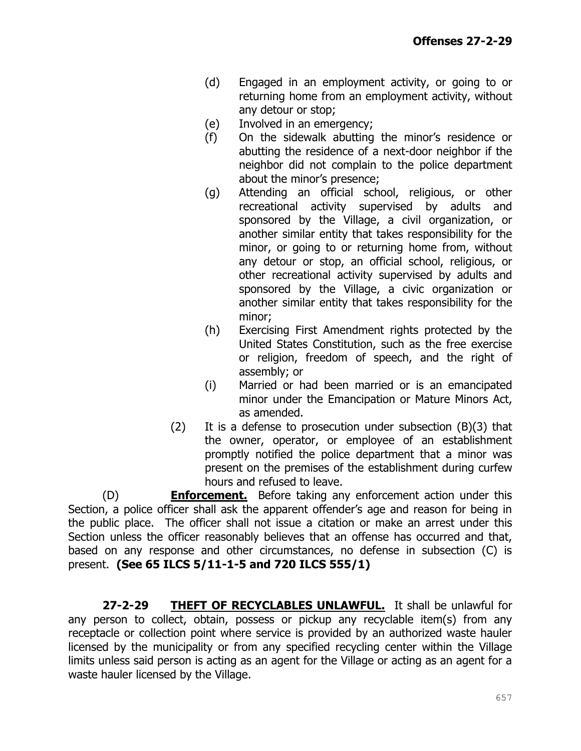- (d) Engaged in an employment activity, or going to or returning home from an employment activity, without any detour or stop;
- (e) Involved in an emergency;
- (f) On the sidewalk abutting the minor's residence or abutting the residence of a next-door neighbor if the neighbor did not complain to the police department about the minor's presence;
- (g) Attending an official school, religious, or other recreational activity supervised by adults and sponsored by the Village, a civil organization, or another similar entity that takes responsibility for the minor, or going to or returning home from, without any detour or stop, an official school, religious, or other recreational activity supervised by adults and sponsored by the Village, a civic organization or another similar entity that takes responsibility for the minor;
- (h) Exercising First Amendment rights protected by the United States Constitution, such as the free exercise or religion, freedom of speech, and the right of assembly; or
- (i) Married or had been married or is an emancipated minor under the Emancipation or Mature Minors Act, as amended.
- (2) It is a defense to prosecution under subsection  $(B)(3)$  that the owner, operator, or employee of an establishment promptly notified the police department that a minor was present on the premises of the establishment during curfew hours and refused to leave.

(D) **Enforcement.** Before taking any enforcement action under this Section, a police officer shall ask the apparent offender's age and reason for being in the public place. The officer shall not issue a citation or make an arrest under this Section unless the officer reasonably believes that an offense has occurred and that, based on any response and other circumstances, no defense in subsection (C) is present. **(See 65 ILCS 5/11-1-5 and 720 ILCS 555/1)**

**27-2-29 THEFT OF RECYCLABLES UNLAWFUL.** It shall be unlawful for any person to collect, obtain, possess or pickup any recyclable item(s) from any receptacle or collection point where service is provided by an authorized waste hauler licensed by the municipality or from any specified recycling center within the Village limits unless said person is acting as an agent for the Village or acting as an agent for a waste hauler licensed by the Village.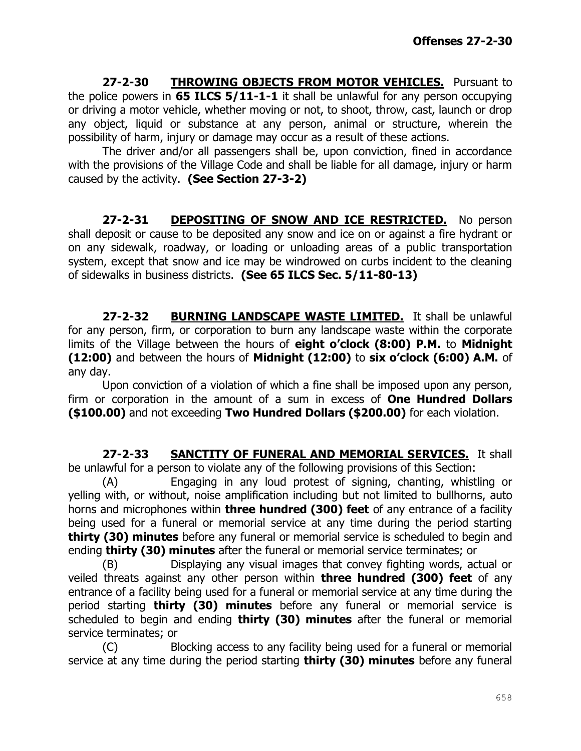**27-2-30 THROWING OBJECTS FROM MOTOR VEHICLES.** Pursuant to the police powers in **65 ILCS 5/11-1-1** it shall be unlawful for any person occupying or driving a motor vehicle, whether moving or not, to shoot, throw, cast, launch or drop any object, liquid or substance at any person, animal or structure, wherein the possibility of harm, injury or damage may occur as a result of these actions.

The driver and/or all passengers shall be, upon conviction, fined in accordance with the provisions of the Village Code and shall be liable for all damage, injury or harm caused by the activity. **(See Section 27-3-2)**

**27-2-31 DEPOSITING OF SNOW AND ICE RESTRICTED.** No person shall deposit or cause to be deposited any snow and ice on or against a fire hydrant or on any sidewalk, roadway, or loading or unloading areas of a public transportation system, except that snow and ice may be windrowed on curbs incident to the cleaning of sidewalks in business districts. **(See 65 ILCS Sec. 5/11-80-13)**

**27-2-32 BURNING LANDSCAPE WASTE LIMITED.** It shall be unlawful for any person, firm, or corporation to burn any landscape waste within the corporate limits of the Village between the hours of **eight o'clock (8:00) P.M.** to **Midnight (12:00)** and between the hours of **Midnight (12:00)** to **six o'clock (6:00) A.M.** of any day.

Upon conviction of a violation of which a fine shall be imposed upon any person, firm or corporation in the amount of a sum in excess of **One Hundred Dollars (\$100.00)** and not exceeding **Two Hundred Dollars (\$200.00)** for each violation.

**27-2-33 SANCTITY OF FUNERAL AND MEMORIAL SERVICES.** It shall be unlawful for a person to violate any of the following provisions of this Section:

(A) Engaging in any loud protest of signing, chanting, whistling or yelling with, or without, noise amplification including but not limited to bullhorns, auto horns and microphones within **three hundred (300) feet** of any entrance of a facility being used for a funeral or memorial service at any time during the period starting **thirty (30) minutes** before any funeral or memorial service is scheduled to begin and ending **thirty (30) minutes** after the funeral or memorial service terminates; or

(B) Displaying any visual images that convey fighting words, actual or veiled threats against any other person within **three hundred (300) feet** of any entrance of a facility being used for a funeral or memorial service at any time during the period starting **thirty (30) minutes** before any funeral or memorial service is scheduled to begin and ending **thirty (30) minutes** after the funeral or memorial service terminates; or

(C) Blocking access to any facility being used for a funeral or memorial service at any time during the period starting **thirty (30) minutes** before any funeral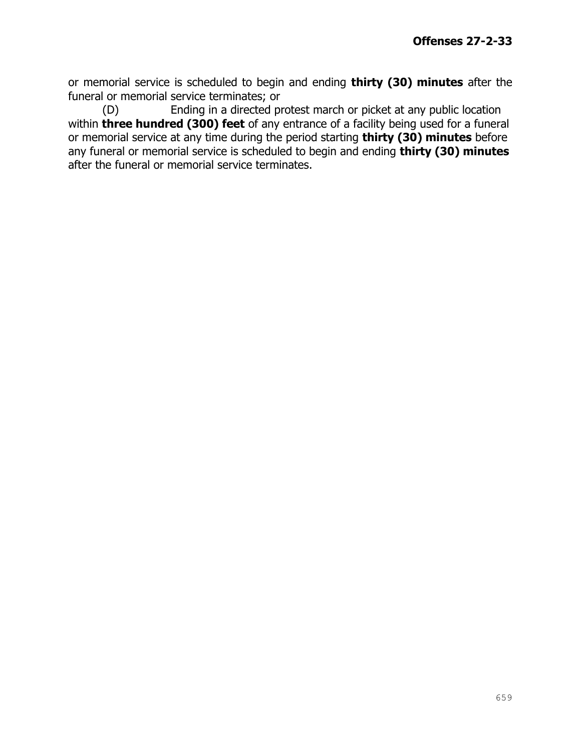or memorial service is scheduled to begin and ending **thirty (30) minutes** after the funeral or memorial service terminates; or

(D) Ending in a directed protest march or picket at any public location within **three hundred (300) feet** of any entrance of a facility being used for a funeral or memorial service at any time during the period starting **thirty (30) minutes** before any funeral or memorial service is scheduled to begin and ending **thirty (30) minutes** after the funeral or memorial service terminates.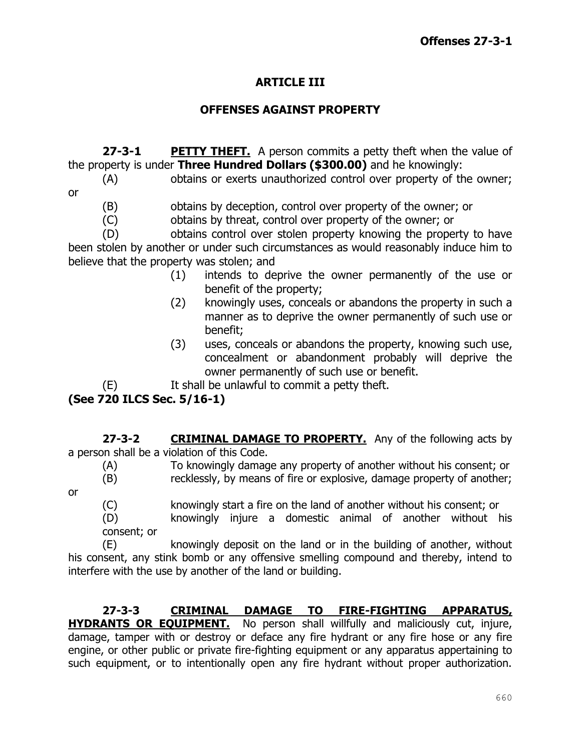# **ARTICLE III**

#### **OFFENSES AGAINST PROPERTY**

**27-3-1 PETTY THEFT.** A person commits a petty theft when the value of the property is under **Three Hundred Dollars (\$300.00)** and he knowingly:

- (A) obtains or exerts unauthorized control over property of the owner; or
	- (B) obtains by deception, control over property of the owner; or
	- (C) obtains by threat, control over property of the owner; or

(D) obtains control over stolen property knowing the property to have been stolen by another or under such circumstances as would reasonably induce him to believe that the property was stolen; and

- (1) intends to deprive the owner permanently of the use or benefit of the property;
- (2) knowingly uses, conceals or abandons the property in such a manner as to deprive the owner permanently of such use or benefit;
- (3) uses, conceals or abandons the property, knowing such use, concealment or abandonment probably will deprive the owner permanently of such use or benefit.

(E) It shall be unlawful to commit a petty theft.

# **(See 720 ILCS Sec. 5/16-1)**

**27-3-2 CRIMINAL DAMAGE TO PROPERTY.** Any of the following acts by a person shall be a violation of this Code.

(A) To knowingly damage any property of another without his consent; or (B) recklessly, by means of fire or explosive, damage property of another;

or

(C) knowingly start a fire on the land of another without his consent; or

(D) knowingly injure a domestic animal of another without his consent; or

(E) knowingly deposit on the land or in the building of another, without his consent, any stink bomb or any offensive smelling compound and thereby, intend to interfere with the use by another of the land or building.

#### **27-3-3 CRIMINAL DAMAGE TO FIRE-FIGHTING APPARATUS, HYDRANTS OR EQUIPMENT.** No person shall willfully and maliciously cut, injure, damage, tamper with or destroy or deface any fire hydrant or any fire hose or any fire engine, or other public or private fire-fighting equipment or any apparatus appertaining to such equipment, or to intentionally open any fire hydrant without proper authorization.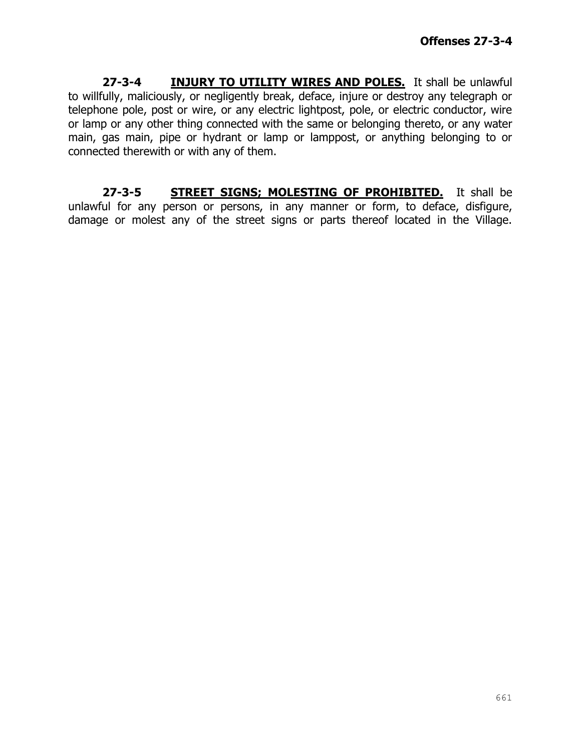**27-3-4 INJURY TO UTILITY WIRES AND POLES.** It shall be unlawful to willfully, maliciously, or negligently break, deface, injure or destroy any telegraph or telephone pole, post or wire, or any electric lightpost, pole, or electric conductor, wire or lamp or any other thing connected with the same or belonging thereto, or any water main, gas main, pipe or hydrant or lamp or lamppost, or anything belonging to or connected therewith or with any of them.

**27-3-5 STREET SIGNS; MOLESTING OF PROHIBITED.** It shall be unlawful for any person or persons, in any manner or form, to deface, disfigure, damage or molest any of the street signs or parts thereof located in the Village.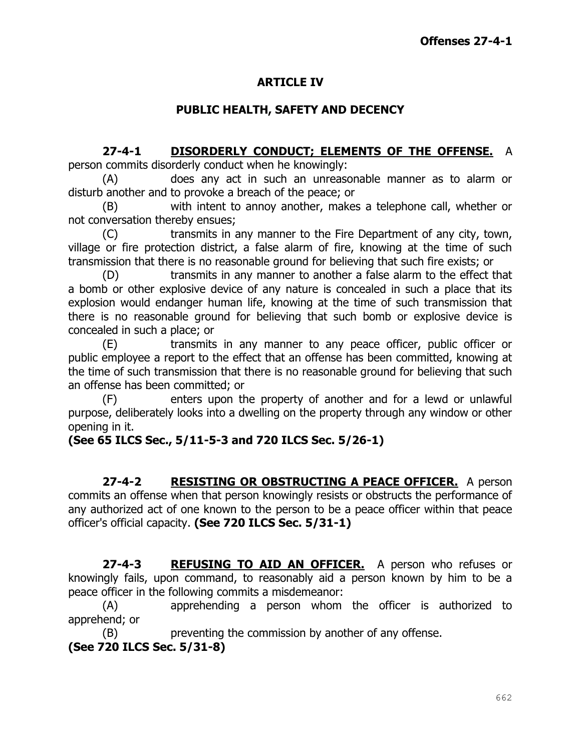### **ARTICLE IV**

#### **PUBLIC HEALTH, SAFETY AND DECENCY**

# **27-4-1 DISORDERLY CONDUCT; ELEMENTS OF THE OFFENSE.** A

person commits disorderly conduct when he knowingly:

(A) does any act in such an unreasonable manner as to alarm or disturb another and to provoke a breach of the peace; or

(B) with intent to annoy another, makes a telephone call, whether or not conversation thereby ensues;

(C) transmits in any manner to the Fire Department of any city, town, village or fire protection district, a false alarm of fire, knowing at the time of such transmission that there is no reasonable ground for believing that such fire exists; or

(D) transmits in any manner to another a false alarm to the effect that a bomb or other explosive device of any nature is concealed in such a place that its explosion would endanger human life, knowing at the time of such transmission that there is no reasonable ground for believing that such bomb or explosive device is concealed in such a place; or

(E) transmits in any manner to any peace officer, public officer or public employee a report to the effect that an offense has been committed, knowing at the time of such transmission that there is no reasonable ground for believing that such an offense has been committed; or

(F) enters upon the property of another and for a lewd or unlawful purpose, deliberately looks into a dwelling on the property through any window or other opening in it.

# **(See 65 ILCS Sec., 5/11-5-3 and 720 ILCS Sec. 5/26-1)**

**27-4-2 RESISTING OR OBSTRUCTING A PEACE OFFICER.** A person commits an offense when that person knowingly resists or obstructs the performance of any authorized act of one known to the person to be a peace officer within that peace officer's official capacity. **(See 720 ILCS Sec. 5/31-1)**

**27-4-3 REFUSING TO AID AN OFFICER.** A person who refuses or knowingly fails, upon command, to reasonably aid a person known by him to be a peace officer in the following commits a misdemeanor:

(A) apprehending a person whom the officer is authorized to apprehend; or

(B) preventing the commission by another of any offense.

**(See 720 ILCS Sec. 5/31-8)**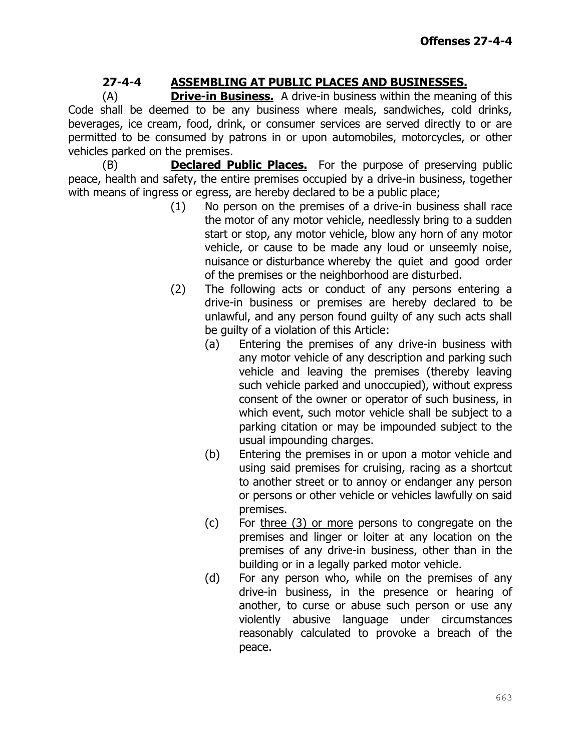# **27-4-4 ASSEMBLING AT PUBLIC PLACES AND BUSINESSES.**

(A) **Drive-in Business.** A drive-in business within the meaning of this Code shall be deemed to be any business where meals, sandwiches, cold drinks, beverages, ice cream, food, drink, or consumer services are served directly to or are permitted to be consumed by patrons in or upon automobiles, motorcycles, or other vehicles parked on the premises.

(B) **Declared Public Places.** For the purpose of preserving public peace, health and safety, the entire premises occupied by a drive-in business, together with means of ingress or egress, are hereby declared to be a public place;

- (1) No person on the premises of a drive-in business shall race the motor of any motor vehicle, needlessly bring to a sudden start or stop, any motor vehicle, blow any horn of any motor vehicle, or cause to be made any loud or unseemly noise, nuisance or disturbance whereby the quiet and good order of the premises or the neighborhood are disturbed.
- (2) The following acts or conduct of any persons entering a drive-in business or premises are hereby declared to be unlawful, and any person found guilty of any such acts shall be guilty of a violation of this Article:
	- (a) Entering the premises of any drive-in business with any motor vehicle of any description and parking such vehicle and leaving the premises (thereby leaving such vehicle parked and unoccupied), without express consent of the owner or operator of such business, in which event, such motor vehicle shall be subject to a parking citation or may be impounded subject to the usual impounding charges.
	- (b) Entering the premises in or upon a motor vehicle and using said premises for cruising, racing as a shortcut to another street or to annoy or endanger any person or persons or other vehicle or vehicles lawfully on said premises.
	- (c) For three (3) or more persons to congregate on the premises and linger or loiter at any location on the premises of any drive-in business, other than in the building or in a legally parked motor vehicle.
	- (d) For any person who, while on the premises of any drive-in business, in the presence or hearing of another, to curse or abuse such person or use any violently abusive language under circumstances reasonably calculated to provoke a breach of the peace.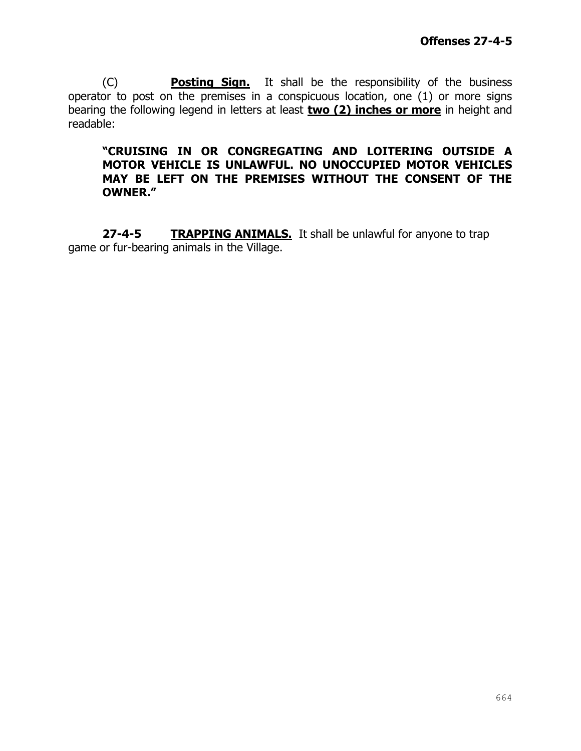(C) **Posting Sign.** It shall be the responsibility of the business operator to post on the premises in a conspicuous location, one (1) or more signs bearing the following legend in letters at least **two (2) inches or more** in height and readable:

#### **"CRUISING IN OR CONGREGATING AND LOITERING OUTSIDE A MOTOR VEHICLE IS UNLAWFUL. NO UNOCCUPIED MOTOR VEHICLES MAY BE LEFT ON THE PREMISES WITHOUT THE CONSENT OF THE OWNER."**

**27-4-5 TRAPPING ANIMALS.** It shall be unlawful for anyone to trap game or fur-bearing animals in the Village.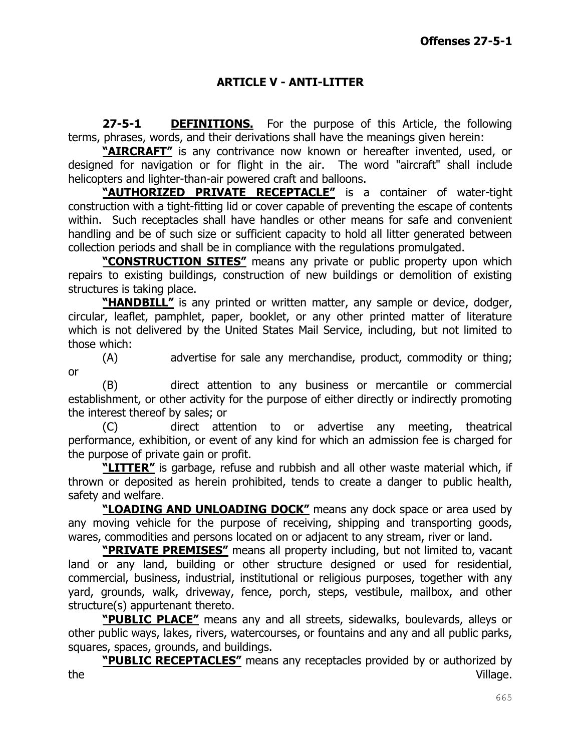#### **ARTICLE V - ANTI-LITTER**

**27-5-1 DEFINITIONS.** For the purpose of this Article, the following terms, phrases, words, and their derivations shall have the meanings given herein:

**"AIRCRAFT"** is any contrivance now known or hereafter invented, used, or designed for navigation or for flight in the air. The word "aircraft" shall include helicopters and lighter-than-air powered craft and balloons.

**"AUTHORIZED PRIVATE RECEPTACLE"** is a container of water-tight construction with a tight-fitting lid or cover capable of preventing the escape of contents within. Such receptacles shall have handles or other means for safe and convenient handling and be of such size or sufficient capacity to hold all litter generated between collection periods and shall be in compliance with the regulations promulgated.

**"CONSTRUCTION SITES"** means any private or public property upon which repairs to existing buildings, construction of new buildings or demolition of existing structures is taking place.

**"HANDBILL"** is any printed or written matter, any sample or device, dodger, circular, leaflet, pamphlet, paper, booklet, or any other printed matter of literature which is not delivered by the United States Mail Service, including, but not limited to those which:

(A) advertise for sale any merchandise, product, commodity or thing; or

(B) direct attention to any business or mercantile or commercial establishment, or other activity for the purpose of either directly or indirectly promoting the interest thereof by sales; or

(C) direct attention to or advertise any meeting, theatrical performance, exhibition, or event of any kind for which an admission fee is charged for the purpose of private gain or profit.

**"LITTER"** is garbage, refuse and rubbish and all other waste material which, if thrown or deposited as herein prohibited, tends to create a danger to public health, safety and welfare.

**"LOADING AND UNLOADING DOCK"** means any dock space or area used by any moving vehicle for the purpose of receiving, shipping and transporting goods, wares, commodities and persons located on or adjacent to any stream, river or land.

**"PRIVATE PREMISES"** means all property including, but not limited to, vacant land or any land, building or other structure designed or used for residential, commercial, business, industrial, institutional or religious purposes, together with any yard, grounds, walk, driveway, fence, porch, steps, vestibule, mailbox, and other structure(s) appurtenant thereto.

**"PUBLIC PLACE"** means any and all streets, sidewalks, boulevards, alleys or other public ways, lakes, rivers, watercourses, or fountains and any and all public parks, squares, spaces, grounds, and buildings.

**"PUBLIC RECEPTACLES"** means any receptacles provided by or authorized by the Village.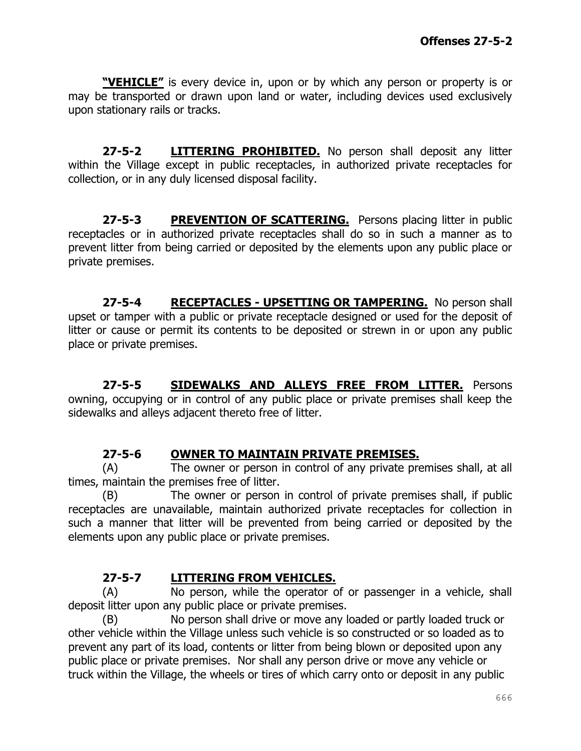**"VEHICLE"** is every device in, upon or by which any person or property is or may be transported or drawn upon land or water, including devices used exclusively upon stationary rails or tracks.

**27-5-2 LITTERING PROHIBITED.** No person shall deposit any litter within the Village except in public receptacles, in authorized private receptacles for collection, or in any duly licensed disposal facility.

**27-5-3 PREVENTION OF SCATTERING.** Persons placing litter in public receptacles or in authorized private receptacles shall do so in such a manner as to prevent litter from being carried or deposited by the elements upon any public place or private premises.

**27-5-4 RECEPTACLES - UPSETTING OR TAMPERING.** No person shall upset or tamper with a public or private receptacle designed or used for the deposit of litter or cause or permit its contents to be deposited or strewn in or upon any public place or private premises.

**27-5-5 SIDEWALKS AND ALLEYS FREE FROM LITTER.** Persons owning, occupying or in control of any public place or private premises shall keep the sidewalks and alleys adjacent thereto free of litter.

#### **27-5-6 OWNER TO MAINTAIN PRIVATE PREMISES.**

(A) The owner or person in control of any private premises shall, at all times, maintain the premises free of litter.

(B) The owner or person in control of private premises shall, if public receptacles are unavailable, maintain authorized private receptacles for collection in such a manner that litter will be prevented from being carried or deposited by the elements upon any public place or private premises.

# **27-5-7 LITTERING FROM VEHICLES.**

(A) No person, while the operator of or passenger in a vehicle, shall deposit litter upon any public place or private premises.

(B) No person shall drive or move any loaded or partly loaded truck or other vehicle within the Village unless such vehicle is so constructed or so loaded as to prevent any part of its load, contents or litter from being blown or deposited upon any public place or private premises. Nor shall any person drive or move any vehicle or truck within the Village, the wheels or tires of which carry onto or deposit in any public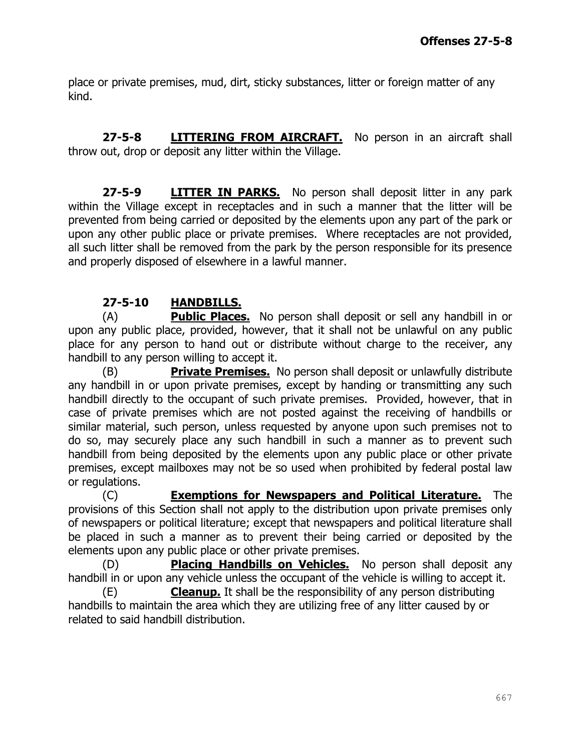place or private premises, mud, dirt, sticky substances, litter or foreign matter of any kind.

**27-5-8 LITTERING FROM AIRCRAFT.** No person in an aircraft shall throw out, drop or deposit any litter within the Village.

**27-5-9 LITTER IN PARKS.** No person shall deposit litter in any park within the Village except in receptacles and in such a manner that the litter will be prevented from being carried or deposited by the elements upon any part of the park or upon any other public place or private premises. Where receptacles are not provided, all such litter shall be removed from the park by the person responsible for its presence and properly disposed of elsewhere in a lawful manner.

#### **27-5-10 HANDBILLS.**

(A) **Public Places.** No person shall deposit or sell any handbill in or upon any public place, provided, however, that it shall not be unlawful on any public place for any person to hand out or distribute without charge to the receiver, any handbill to any person willing to accept it.

(B) **Private Premises.** No person shall deposit or unlawfully distribute any handbill in or upon private premises, except by handing or transmitting any such handbill directly to the occupant of such private premises. Provided, however, that in case of private premises which are not posted against the receiving of handbills or similar material, such person, unless requested by anyone upon such premises not to do so, may securely place any such handbill in such a manner as to prevent such handbill from being deposited by the elements upon any public place or other private premises, except mailboxes may not be so used when prohibited by federal postal law or regulations.

(C) **Exemptions for Newspapers and Political Literature.** The provisions of this Section shall not apply to the distribution upon private premises only of newspapers or political literature; except that newspapers and political literature shall be placed in such a manner as to prevent their being carried or deposited by the elements upon any public place or other private premises.

(D) **Placing Handbills on Vehicles.** No person shall deposit any handbill in or upon any vehicle unless the occupant of the vehicle is willing to accept it.

(E) **Cleanup.** It shall be the responsibility of any person distributing handbills to maintain the area which they are utilizing free of any litter caused by or related to said handbill distribution.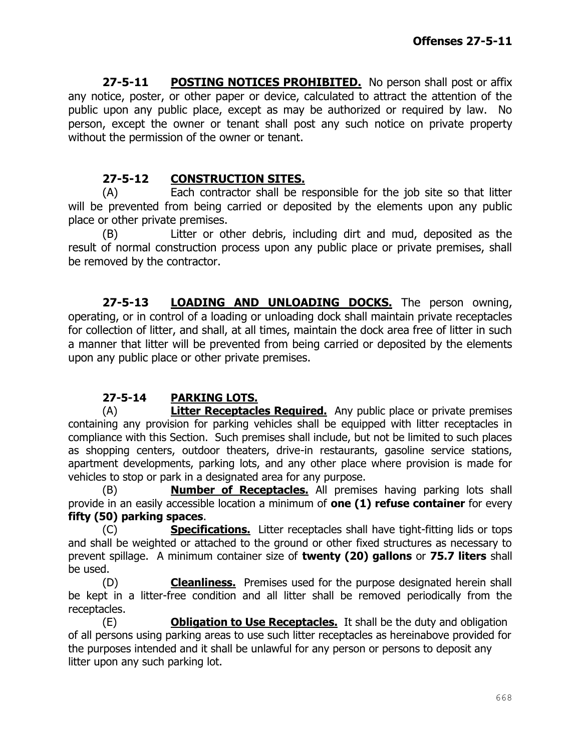**27-5-11 POSTING NOTICES PROHIBITED.** No person shall post or affix any notice, poster, or other paper or device, calculated to attract the attention of the public upon any public place, except as may be authorized or required by law. No person, except the owner or tenant shall post any such notice on private property without the permission of the owner or tenant.

# **27-5-12 CONSTRUCTION SITES.**

(A) Each contractor shall be responsible for the job site so that litter will be prevented from being carried or deposited by the elements upon any public place or other private premises.

(B) Litter or other debris, including dirt and mud, deposited as the result of normal construction process upon any public place or private premises, shall be removed by the contractor.

**27-5-13 LOADING AND UNLOADING DOCKS.** The person owning, operating, or in control of a loading or unloading dock shall maintain private receptacles for collection of litter, and shall, at all times, maintain the dock area free of litter in such a manner that litter will be prevented from being carried or deposited by the elements upon any public place or other private premises.

# **27-5-14 PARKING LOTS.**

(A) **Litter Receptacles Required.** Any public place or private premises containing any provision for parking vehicles shall be equipped with litter receptacles in compliance with this Section. Such premises shall include, but not be limited to such places as shopping centers, outdoor theaters, drive-in restaurants, gasoline service stations, apartment developments, parking lots, and any other place where provision is made for vehicles to stop or park in a designated area for any purpose.

(B) **Number of Receptacles.** All premises having parking lots shall provide in an easily accessible location a minimum of **one (1) refuse container** for every **fifty (50) parking spaces**.

(C) **Specifications.** Litter receptacles shall have tight-fitting lids or tops and shall be weighted or attached to the ground or other fixed structures as necessary to prevent spillage. A minimum container size of **twenty (20) gallons** or **75.7 liters** shall be used.

(D) **Cleanliness.** Premises used for the purpose designated herein shall be kept in a litter-free condition and all litter shall be removed periodically from the receptacles.

(E) **Obligation to Use Receptacles.** It shall be the duty and obligation of all persons using parking areas to use such litter receptacles as hereinabove provided for the purposes intended and it shall be unlawful for any person or persons to deposit any litter upon any such parking lot.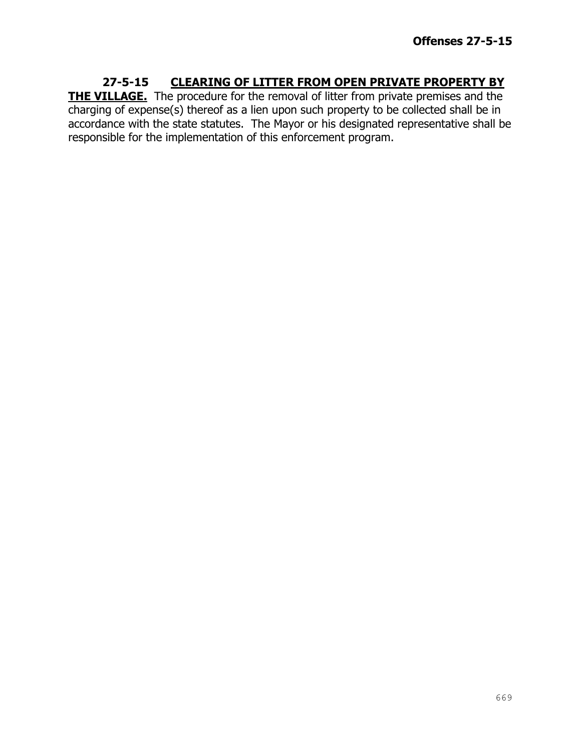#### **27-5-15 CLEARING OF LITTER FROM OPEN PRIVATE PROPERTY BY THE VILLAGE.** The procedure for the removal of litter from private premises and the charging of expense(s) thereof as a lien upon such property to be collected shall be in accordance with the state statutes. The Mayor or his designated representative shall be responsible for the implementation of this enforcement program.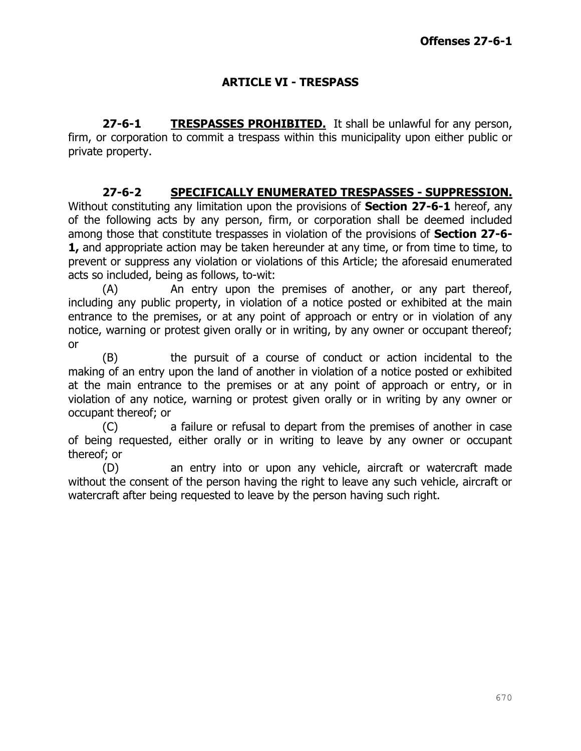# **ARTICLE VI - TRESPASS**

**27-6-1 TRESPASSES PROHIBITED.** It shall be unlawful for any person, firm, or corporation to commit a trespass within this municipality upon either public or private property.

#### **27-6-2 SPECIFICALLY ENUMERATED TRESPASSES - SUPPRESSION.**

Without constituting any limitation upon the provisions of **Section 27-6-1** hereof, any of the following acts by any person, firm, or corporation shall be deemed included among those that constitute trespasses in violation of the provisions of **Section 27-6- 1,** and appropriate action may be taken hereunder at any time, or from time to time, to prevent or suppress any violation or violations of this Article; the aforesaid enumerated acts so included, being as follows, to-wit:

(A) An entry upon the premises of another, or any part thereof, including any public property, in violation of a notice posted or exhibited at the main entrance to the premises, or at any point of approach or entry or in violation of any notice, warning or protest given orally or in writing, by any owner or occupant thereof; or

(B) the pursuit of a course of conduct or action incidental to the making of an entry upon the land of another in violation of a notice posted or exhibited at the main entrance to the premises or at any point of approach or entry, or in violation of any notice, warning or protest given orally or in writing by any owner or occupant thereof; or

(C) a failure or refusal to depart from the premises of another in case of being requested, either orally or in writing to leave by any owner or occupant thereof; or

(D) an entry into or upon any vehicle, aircraft or watercraft made without the consent of the person having the right to leave any such vehicle, aircraft or watercraft after being requested to leave by the person having such right.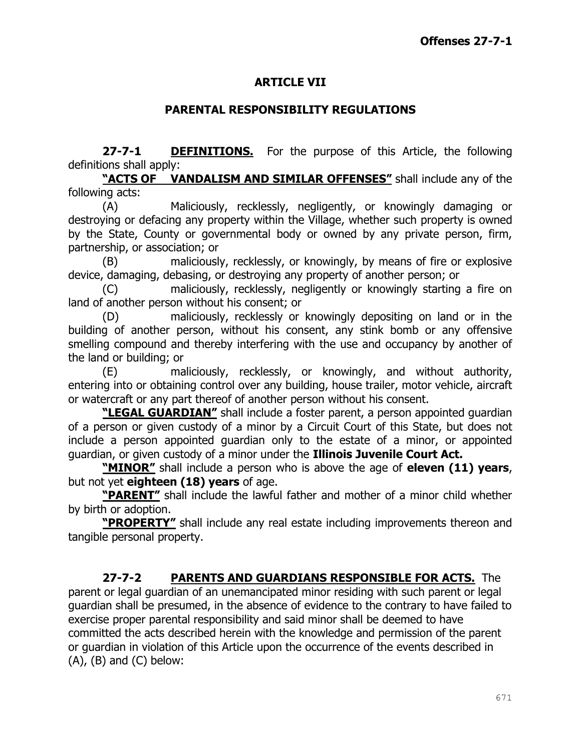# **ARTICLE VII**

#### **PARENTAL RESPONSIBILITY REGULATIONS**

**27-7-1 DEFINITIONS.** For the purpose of this Article, the following definitions shall apply:

**"ACTS OF VANDALISM AND SIMILAR OFFENSES"** shall include any of the following acts:

(A) Maliciously, recklessly, negligently, or knowingly damaging or destroying or defacing any property within the Village, whether such property is owned by the State, County or governmental body or owned by any private person, firm, partnership, or association; or

(B) maliciously, recklessly, or knowingly, by means of fire or explosive device, damaging, debasing, or destroying any property of another person; or

(C) maliciously, recklessly, negligently or knowingly starting a fire on land of another person without his consent; or

(D) maliciously, recklessly or knowingly depositing on land or in the building of another person, without his consent, any stink bomb or any offensive smelling compound and thereby interfering with the use and occupancy by another of the land or building; or

(E) maliciously, recklessly, or knowingly, and without authority, entering into or obtaining control over any building, house trailer, motor vehicle, aircraft or watercraft or any part thereof of another person without his consent.

**"LEGAL GUARDIAN"** shall include a foster parent, a person appointed guardian of a person or given custody of a minor by a Circuit Court of this State, but does not include a person appointed guardian only to the estate of a minor, or appointed guardian, or given custody of a minor under the **Illinois Juvenile Court Act.**

**"MINOR"** shall include a person who is above the age of **eleven (11) years**, but not yet **eighteen (18) years** of age.

**"PARENT"** shall include the lawful father and mother of a minor child whether by birth or adoption.

**"PROPERTY"** shall include any real estate including improvements thereon and tangible personal property.

**27-7-2 PARENTS AND GUARDIANS RESPONSIBLE FOR ACTS.** The parent or legal guardian of an unemancipated minor residing with such parent or legal guardian shall be presumed, in the absence of evidence to the contrary to have failed to exercise proper parental responsibility and said minor shall be deemed to have committed the acts described herein with the knowledge and permission of the parent or guardian in violation of this Article upon the occurrence of the events described in  $(A)$ ,  $(B)$  and  $(C)$  below: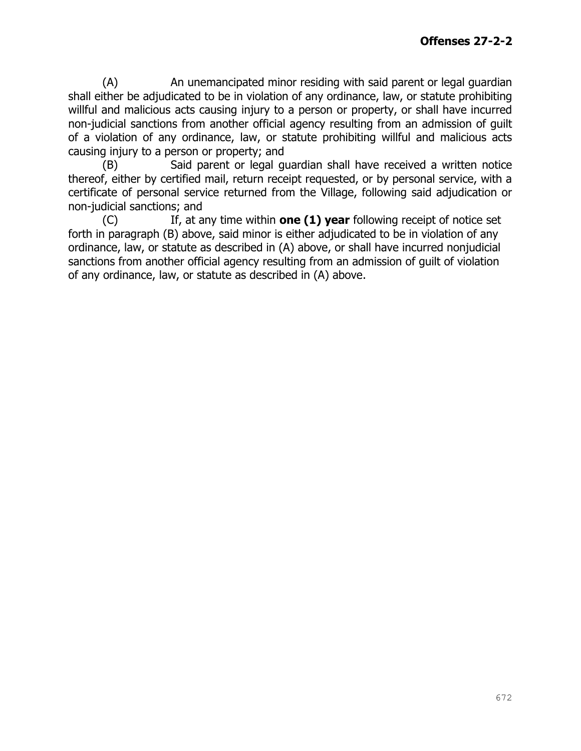(A) An unemancipated minor residing with said parent or legal guardian shall either be adjudicated to be in violation of any ordinance, law, or statute prohibiting willful and malicious acts causing injury to a person or property, or shall have incurred non-judicial sanctions from another official agency resulting from an admission of guilt of a violation of any ordinance, law, or statute prohibiting willful and malicious acts causing injury to a person or property; and

(B) Said parent or legal guardian shall have received a written notice thereof, either by certified mail, return receipt requested, or by personal service, with a certificate of personal service returned from the Village, following said adjudication or non-judicial sanctions; and

(C) If, at any time within **one (1) year** following receipt of notice set forth in paragraph (B) above, said minor is either adjudicated to be in violation of any ordinance, law, or statute as described in (A) above, or shall have incurred nonjudicial sanctions from another official agency resulting from an admission of guilt of violation of any ordinance, law, or statute as described in (A) above.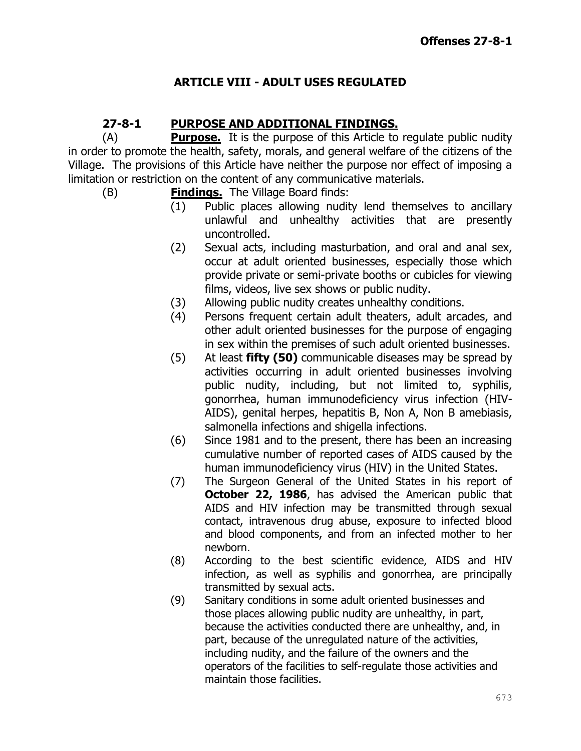# **ARTICLE VIII - ADULT USES REGULATED**

# **27-8-1 PURPOSE AND ADDITIONAL FINDINGS.**

(A) **Purpose.** It is the purpose of this Article to regulate public nudity in order to promote the health, safety, morals, and general welfare of the citizens of the Village. The provisions of this Article have neither the purpose nor effect of imposing a limitation or restriction on the content of any communicative materials.

- (B) **Findings.** The Village Board finds:
	- (1) Public places allowing nudity lend themselves to ancillary unlawful and unhealthy activities that are presently uncontrolled.
	- (2) Sexual acts, including masturbation, and oral and anal sex, occur at adult oriented businesses, especially those which provide private or semi-private booths or cubicles for viewing films, videos, live sex shows or public nudity.
	- (3) Allowing public nudity creates unhealthy conditions.
	- (4) Persons frequent certain adult theaters, adult arcades, and other adult oriented businesses for the purpose of engaging in sex within the premises of such adult oriented businesses.
	- (5) At least **fifty (50)** communicable diseases may be spread by activities occurring in adult oriented businesses involving public nudity, including, but not limited to, syphilis, gonorrhea, human immunodeficiency virus infection (HIV-AIDS), genital herpes, hepatitis B, Non A, Non B amebiasis, salmonella infections and shigella infections.
	- (6) Since 1981 and to the present, there has been an increasing cumulative number of reported cases of AIDS caused by the human immunodeficiency virus (HIV) in the United States.
	- (7) The Surgeon General of the United States in his report of **October 22, 1986**, has advised the American public that AIDS and HIV infection may be transmitted through sexual contact, intravenous drug abuse, exposure to infected blood and blood components, and from an infected mother to her newborn.
	- (8) According to the best scientific evidence, AIDS and HIV infection, as well as syphilis and gonorrhea, are principally transmitted by sexual acts.
	- (9) Sanitary conditions in some adult oriented businesses and those places allowing public nudity are unhealthy, in part, because the activities conducted there are unhealthy, and, in part, because of the unregulated nature of the activities, including nudity, and the failure of the owners and the operators of the facilities to self-regulate those activities and maintain those facilities.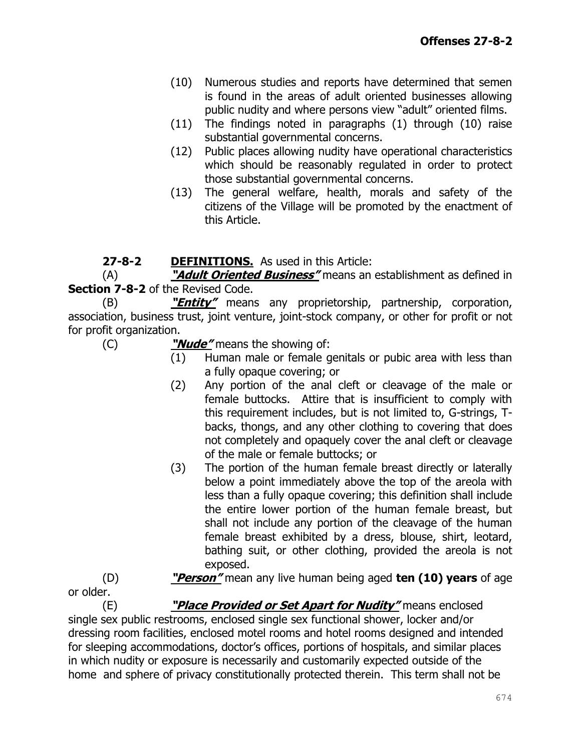- (10) Numerous studies and reports have determined that semen is found in the areas of adult oriented businesses allowing public nudity and where persons view "adult" oriented films.
- (11) The findings noted in paragraphs (1) through (10) raise substantial governmental concerns.
- (12) Public places allowing nudity have operational characteristics which should be reasonably regulated in order to protect those substantial governmental concerns.
- (13) The general welfare, health, morals and safety of the citizens of the Village will be promoted by the enactment of this Article.

# **27-8-2 DEFINITIONS.** As used in this Article:

(A) **"Adult Oriented Business"** means an establishment as defined in **Section 7-8-2** of the Revised Code.

(B) **"Entity"** means any proprietorship, partnership, corporation, association, business trust, joint venture, joint-stock company, or other for profit or not for profit organization.

(C) **"Nude"** means the showing of:

- (1) Human male or female genitals or pubic area with less than a fully opaque covering; or
- (2) Any portion of the anal cleft or cleavage of the male or female buttocks. Attire that is insufficient to comply with this requirement includes, but is not limited to, G-strings, Tbacks, thongs, and any other clothing to covering that does not completely and opaquely cover the anal cleft or cleavage of the male or female buttocks; or
- (3) The portion of the human female breast directly or laterally below a point immediately above the top of the areola with less than a fully opaque covering; this definition shall include the entire lower portion of the human female breast, but shall not include any portion of the cleavage of the human female breast exhibited by a dress, blouse, shirt, leotard, bathing suit, or other clothing, provided the areola is not exposed.

(D) **"Person"** mean any live human being aged **ten (10) years** of age or older.

(E) **"Place Provided or Set Apart for Nudity"** means enclosed single sex public restrooms, enclosed single sex functional shower, locker and/or dressing room facilities, enclosed motel rooms and hotel rooms designed and intended for sleeping accommodations, doctor's offices, portions of hospitals, and similar places in which nudity or exposure is necessarily and customarily expected outside of the home and sphere of privacy constitutionally protected therein. This term shall not be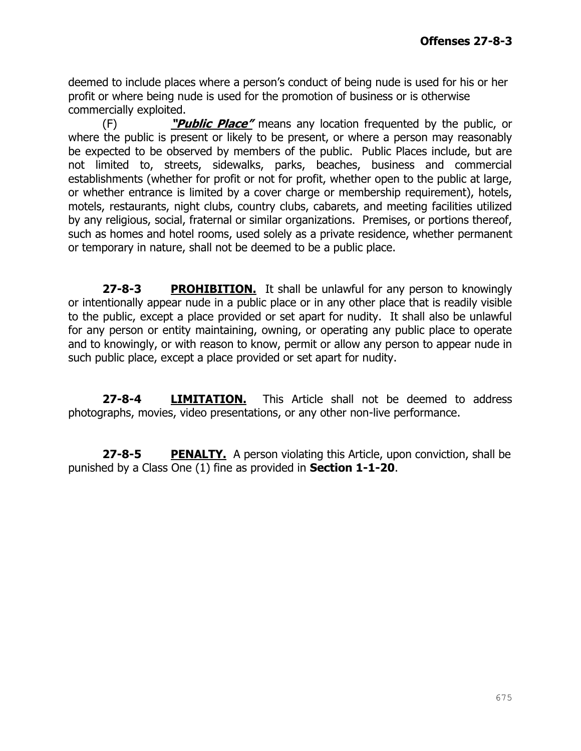deemed to include places where a person's conduct of being nude is used for his or her profit or where being nude is used for the promotion of business or is otherwise commercially exploited.

(F) **"Public Place"** means any location frequented by the public, or where the public is present or likely to be present, or where a person may reasonably be expected to be observed by members of the public. Public Places include, but are not limited to, streets, sidewalks, parks, beaches, business and commercial establishments (whether for profit or not for profit, whether open to the public at large, or whether entrance is limited by a cover charge or membership requirement), hotels, motels, restaurants, night clubs, country clubs, cabarets, and meeting facilities utilized by any religious, social, fraternal or similar organizations. Premises, or portions thereof, such as homes and hotel rooms, used solely as a private residence, whether permanent or temporary in nature, shall not be deemed to be a public place.

**27-8-3 PROHIBITION.** It shall be unlawful for any person to knowingly or intentionally appear nude in a public place or in any other place that is readily visible to the public, except a place provided or set apart for nudity. It shall also be unlawful for any person or entity maintaining, owning, or operating any public place to operate and to knowingly, or with reason to know, permit or allow any person to appear nude in such public place, except a place provided or set apart for nudity.

**27-8-4 LIMITATION.** This Article shall not be deemed to address photographs, movies, video presentations, or any other non-live performance.

**27-8-5 PENALTY.** A person violating this Article, upon conviction, shall be punished by a Class One (1) fine as provided in **Section 1-1-20**.